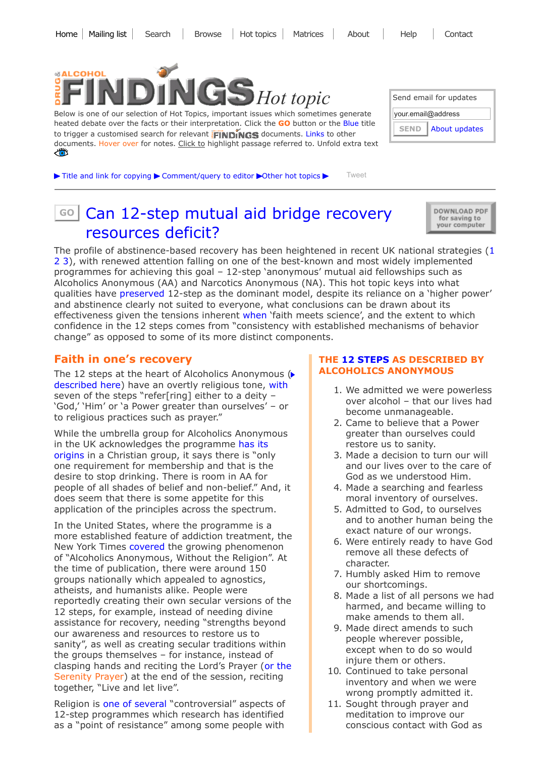

Below is one of our selection of Hot Topics, important issues which sometimes generate heated debate over the facts or their interpretation. Click the GO button or the Blue title to trigger a customised search for relevant **FINDINGS** documents. Links to other documents. Hover over for notes. Click to highlight passage referred to. Unfold extra text ذاتاح

| Send email for updates       |  |  |
|------------------------------|--|--|
| your.email@address           |  |  |
| About updates<br><b>SEND</b> |  |  |

 $\blacktriangleright$  Title and link for [copying](javascript:;)  $\blacktriangleright$  [Comment/query](mailto:editor@findings.org.uk?Subject=Findings%20entry:%20Can%2012-step%20mutual%20aid%20bridge%20recovery%20resources%20deficit?&body=Dear%20Editor%0A%0ARegarding%20the%20Findings%20document:%0ACan%2012-step%20mutual%20aid%20bridge%20recovery%20resources%20deficit?%0Aat:%0Ahttps://findings.org.uk/PHP/dl.php?file=steps.hot%0A%0AI%20would%20appreciate%20your%20response%20to%20this%20comment/query:%0A[Enter%20your%20comment/query%20here]) to editor  $\blacktriangleright$ Other hot [topics](https://findings.org.uk/hot_topics_archive.php?s=eb&sf=sfnos)  $\blacktriangleright$  [Tweet](https://twitter.com/intent/tweet?original_referer=http%3A%2F%2Ffindings.org.uk%2FPHP%2Fdl.php%3Ffile%3Dsteps.hot%26s%3Deb%26sf%3Dsfnos&ref_src=twsrc%5Etfw&related=DrugAlcFindings%3ADrug%20and%20Alcohol%20Findings&text=Source%20%40DrugAlcFindings%20Can%2012-step%20groups%20bridge%20gap%20between%20heightened%20recovery%20ambitions%20and%20less%20public%20resources%3F&tw_p=tweetbutton&url=http%3A%2F%2Ffindings.org.uk%2FPHP%2Fdl.php%3Ffile%3Dsteps.hot%26s%3Deb%26sf%3Dtw)

| sol Can 12-step mutual aid bridge recovery | DOWNLOAD PDF<br>for saving to<br>your computer |
|--------------------------------------------|------------------------------------------------|

[resources](https://findings.org.uk/topic_results.php?allCodes%5B%5D=M6.3x+mutualaidx+12-step+anonymous&othfeat%5B%5D=12-step&source=hot&sortBy=DateAdded&source=hot&sortBy=DateAdded&s=eb&sf=sfnos) deficit? The profile of abstinence-based recovery has been heightened in recent UK national strategies ([1](https://findings.org.uk/PHP/dl.php?file=HM_Government_7.txt&s=eb&sf=sfnos) [2](https://findings.org.uk/PHP/dl.php?file=HM_Government_3.cab&s=eb&sf=sfnos) [3](http://www.scotland.gov.uk/Publications/2008/05/22161610/0)), with renewed attention falling on one of the best-known and most widely implemented programmes for achieving this goal – 12-step 'anonymous' mutual aid fellowships such as Alcoholics Anonymous (AA) and Narcotics Anonymous (NA). This hot topic keys into what qualities have [preserved](https://findings.org.uk/PHP/dl.php?file=White_WL_19.txt&s=eb&sf=sfnos) 12-step as the dominant model, despite its reliance on a 'higher power' and abstinence clearly not suited to everyone, what conclusions can be drawn about its effectiveness given the tensions inherent [when](http://dx.doi.org/10.1080/10550880902772464) 'faith meets science', and the extent to which confidence in the 12 steps comes from "consistency with established mechanisms of behavior change" as opposed to some of its more distinct components.

### Faith in one's recovery

The 12 steps at the heart of Alcoholics Anonymous ( [described](#page-0-0) here) have an overtly religious tone, [with](https://www.nytimes.com/2014/02/22/us/alcoholics-anonymous-without-the-religion.html) seven of the steps "refer[ring] either to a deity – 'God,' 'Him' or 'a Power greater than ourselves' – or to religious practices such as prayer."

While the umbrella group for Alcoholics Anonymous in the UK [acknowledges](https://www.alcoholics-anonymous.org.uk/professionals/frequently-asked-questions) the programme has its origins in a Christian group, it says there is "only one requirement for membership and that is the desire to stop drinking. There is room in AA for people of all shades of belief and non-belief." And, it does seem that there is some appetite for this application of the principles across the spectrum.

In the United States, where the programme is a more established feature of addiction treatment, the New York Times [covered](https://www.nytimes.com/2014/02/22/us/alcoholics-anonymous-without-the-religion.html) the growing phenomenon of "Alcoholics Anonymous, Without the Religion". At the time of publication, there were around 150 groups nationally which appealed to agnostics, atheists, and humanists alike. People were reportedly creating their own secular versions of the 12 steps, for example, instead of needing divine assistance for recovery, needing "strengths beyond our awareness and resources to restore us to sanity", as well as creating secular traditions within the groups themselves – for instance, instead of clasping hands and reciting the Lord's Prayer (or [the](https://www.americanbar.org/newsletter/publications/gp_solo_magazine_home/gp_solo_magazine_index/whattoexpect12.html) Serenity Prayer) at the end of the session, reciting together, "Live and let live".

Religion is one of [several](http://dx.doi.org/10.1081/JA-120025124) "controversial" aspects of 12-step programmes which research has identified as a "point of resistance" among some people with

#### <span id="page-0-0"></span>THE [12 STEPS](https://www.alcoholics-anonymous.org.uk/about-aa/the-12-steps-of-aa) AS DESCRIBED BY ALCOHOLICS ANONYMOUS

- 1. We admitted we were powerless over alcohol – that our lives had become unmanageable.
- 2. Came to believe that a Power greater than ourselves could restore us to sanity.
- 3. Made a decision to turn our will and our lives over to the care of God as we understood Him.
- 4. Made a searching and fearless moral inventory of ourselves.
- 5. Admitted to God, to ourselves and to another human being the exact nature of our wrongs.
- 6. Were entirely ready to have God remove all these defects of character.
- 7. Humbly asked Him to remove our shortcomings.
- 8. Made a list of all persons we had harmed, and became willing to make amends to them all.
- 9. Made direct amends to such people wherever possible, except when to do so would injure them or others.
- 10. Continued to take personal inventory and when we were wrong promptly admitted it.
- 11. Sought through prayer and meditation to improve our conscious contact with God as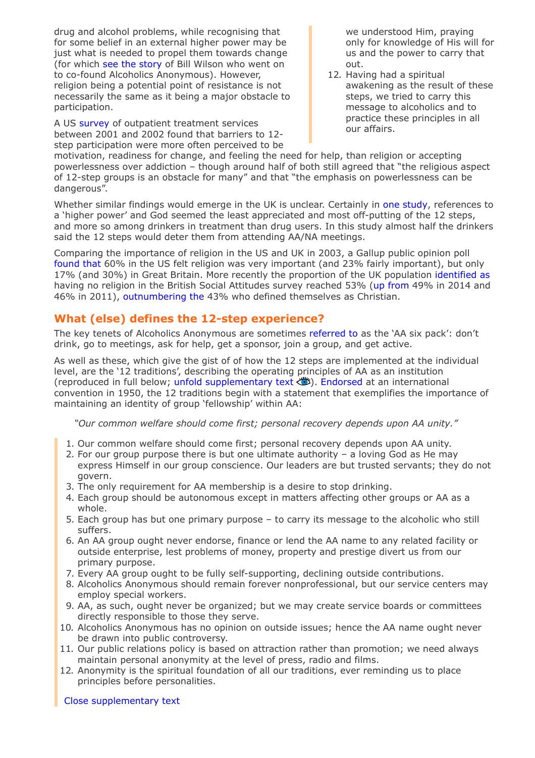drug and alcohol problems, while recognising that for some belief in an external higher power may be just what is needed to propel them towards change (for which see the [story](https://findings.org.uk/PHP/dl.php?file=cycle_change.hot&s=eb&sf=sfnos#planning) of Bill Wilson who went on to co-found Alcoholics Anonymous). However, religion being a potential point of resistance is not necessarily the same as it being a major obstacle to participation.

A US [survey](http://dx.doi.org/10.1081/JA-120025124) of outpatient treatment services between 2001 and 2002 found that barriers to 12 step participation were more often perceived to be

we understood Him, praying only for knowledge of His will for us and the power to carry that out.

12. Having had a spiritual awakening as the result of these steps, we tried to carry this message to alcoholics and to practice these principles in all our affairs.

motivation, readiness for change, and feeling the need for help, than religion or accepting powerlessness over addiction – though around half of both still agreed that "the religious aspect of 12-step groups is an obstacle for many" and that "the emphasis on powerlessness can be dangerous".

Whether similar findings would emerge in the UK is unclear. Certainly in one [study](http://dx.doi.org/10.1159/000050719), references to a 'higher power' and God seemed the least appreciated and most off-putting of the 12 steps, and more so among drinkers in treatment than drug users. In this study almost half the drinkers said the 12 steps would deter them from attending AA/NA meetings.

Comparing the importance of religion in the US and UK in 2003, a Gallup public opinion poll [found](http://news.gallup.com/poll/9016/worlds-apart-religion-canada-britain-us.aspx) that 60% in the US felt religion was very important (and 23% fairly important), but only 17% (and 30%) in Great Britain. More recently the proportion of the UK population [identified](https://www.theguardian.com/world/2017/sep/04/half-uk-population-has-no-religion-british-social-attitudes-survey) as having no religion in the British Social Attitudes survey reached 53% (up [from](https://www.theguardian.com/world/2016/may/23/no-religion-outnumber-christians-england-wales-study) 49% in 2014 and 46% in 2011), [outnumbering](https://www.theguardian.com/world/2017/may/13/uk-losing-faith-religion-young-reject-parents-beliefs) the 43% who defined themselves as Christian.

# What (else) defines the 12-step experience?

The key tenets of Alcoholics Anonymous are sometimes [referred](http://dx.doi.org/10.1016/S0740-5472(97)00191-8) to as the 'AA six pack': don't drink, go to meetings, ask for help, get a sponsor, join a group, and get active.

As well as these, which give the gist of of how the 12 steps are implemented at the individual level, are the '12 traditions', describing the operating principles of AA as an institution (reproduced in full below; unfold [supplementary](javascript:;) text  $\ddot{\ddot{\bullet}}$ ). [Endorsed](https://www.alcoholics-anonymous.org.uk/about-aa/AA-Traditions) at an international convention in 1950, the 12 traditions begin with a statement that exemplifies the importance of maintaining an identity of group 'fellowship' within AA:

"Our common welfare should come first; personal recovery depends upon AA unity."

- 1. Our common welfare should come first; personal recovery depends upon AA unity.
- 2. For our group purpose there is but one ultimate authority a loving God as He may express Himself in our group conscience. Our leaders are but trusted servants; they do not govern.
- 3. The only requirement for AA membership is a desire to stop drinking.
- 4. Each group should be autonomous except in matters affecting other groups or AA as a whole.
- 5. Each group has but one primary purpose to carry its message to the alcoholic who still suffers.
- 6. An AA group ought never endorse, finance or lend the AA name to any related facility or outside enterprise, lest problems of money, property and prestige divert us from our primary purpose.
- 7. Every AA group ought to be fully self-supporting, declining outside contributions.
- 8. Alcoholics Anonymous should remain forever nonprofessional, but our service centers may employ special workers.
- 9. AA, as such, ought never be organized; but we may create service boards or committees directly responsible to those they serve.
- 10. Alcoholics Anonymous has no opinion on outside issues; hence the AA name ought never be drawn into public controversy.
- 11. Our public relations policy is based on attraction rather than promotion; we need always maintain personal anonymity at the level of press, radio and films.
- 12. Anonymity is the spiritual foundation of all our traditions, ever reminding us to place principles before personalities.

Close [supplementary](javascript:;) text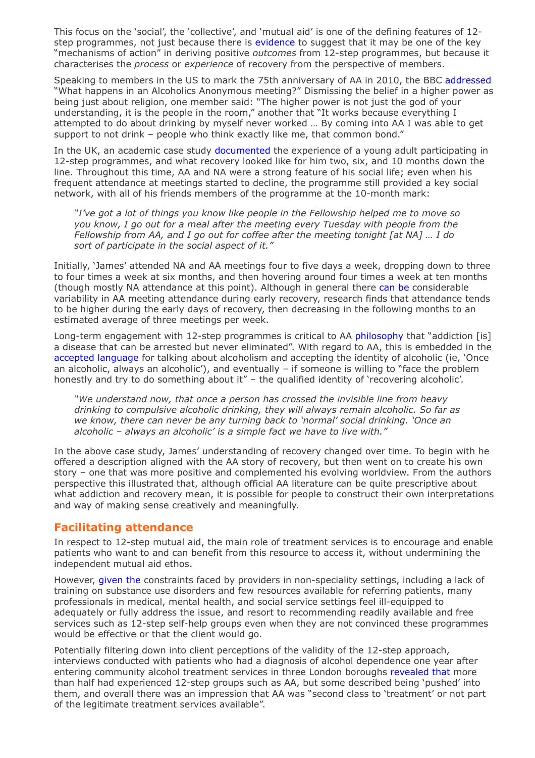This focus on the 'social', the 'collective', and 'mutual aid' is one of the defining features of 12 step programmes, not just because there is [evidence](http://dx.doi.org/10.1080/19371918.2013.774663) to suggest that it may be one of the key "mechanisms of action" in deriving positive outcomes from 12-step programmes, but because it characterises the process or experience of recovery from the perspective of members.

Speaking to members in the US to mark the 75th anniversary of AA in 2010, the BBC [addressed](http://www.bbc.co.uk/news/10280806) "What happens in an Alcoholics Anonymous meeting?" Dismissing the belief in a higher power as being just about religion, one member said: "The higher power is not just the god of your understanding, it is the people in the room," another that "It works because everything I attempted to do about drinking by myself never worked … By coming into AA I was able to get support to not drink – people who think exactly like me, that common bond."

In the UK, an academic case study [documented](http://dx.doi.org/10.1080/07347324.2017.1355204) the experience of a young adult participating in 12-step programmes, and what recovery looked like for him two, six, and 10 months down the line. Throughout this time, AA and NA were a strong feature of his social life; even when his frequent attendance at meetings started to decline, the programme still provided a key social network, with all of his friends members of the programme at the 10-month mark:

"I've got a lot of things you know like people in the Fellowship helped me to move so you know, I go out for a meal after the meeting every Tuesday with people from the Fellowship from AA, and I go out for coffee after the meeting tonight [at NA] … I do sort of participate in the social aspect of it."

Initially, 'James' attended NA and AA meetings four to five days a week, dropping down to three to four times a week at six months, and then hovering around four times a week at ten months (though mostly NA attendance at this point). Although in general there [can](http://dx.doi.org/10.1080/07347324.2017.1355204) be considerable variability in AA meeting attendance during early recovery, research finds that attendance tends to be higher during the early days of recovery, then decreasing in the following months to an estimated average of three meetings per week.

Long-term engagement with 12-step programmes is critical to AA [philosophy](http://dx.doi.org/10.1080/19371918.2013.774663) that "addiction [is] a disease that can be arrested but never eliminated". With regard to AA, this is embedded in the accepted [language](https://www.alcoholics-anonymous.org.uk/about-aa/newcomers/about-alcoholism) for talking about alcoholism and accepting the identity of alcoholic (ie, 'Once an alcoholic, always an alcoholic'), and eventually – if someone is willing to "face the problem honestly and try to do something about it" – the qualified identity of 'recovering alcoholic'.

"We understand now, that once a person has crossed the invisible line from heavy drinking to compulsive alcoholic drinking, they will always remain alcoholic. So far as we know, there can never be any turning back to 'normal' social drinking. 'Once an alcoholic – always an alcoholic' is a simple fact we have to live with."

In the above case study, James' understanding of recovery changed over time. To begin with he offered a description aligned with the AA story of recovery, but then went on to create his own story – one that was more positive and complemented his evolving worldview. From the authors perspective this illustrated that, although official AA literature can be quite prescriptive about what addiction and recovery mean, it is possible for people to construct their own interpretations and way of making sense creatively and meaningfully.

### Facilitating attendance

In respect to 12-step mutual aid, the main role of treatment services is to encourage and enable patients who want to and can benefit from this resource to access it, without undermining the independent mutual aid ethos.

However, [given](http://dx.doi.org/10.1080/19371918.2013.774663) the constraints faced by providers in non-speciality settings, including a lack of training on substance use disorders and few resources available for referring patients, many professionals in medical, mental health, and social service settings feel ill-equipped to adequately or fully address the issue, and resort to recommending readily available and free services such as 12-step self-help groups even when they are not convinced these programmes would be effective or that the client would go.

Potentially filtering down into client perceptions of the validity of the 12-step approach, interviews conducted with patients who had a diagnosis of alcohol dependence one year after entering community alcohol treatment services in three London boroughs [revealed](https://findings.org.uk/PHP/dl.php?file=Gilburt_H_1.txt&s=eb&sf=sfnos) that more than half had experienced 12-step groups such as AA, but some described being 'pushed' into them, and overall there was an impression that AA was "second class to 'treatment' or not part of the legitimate treatment services available".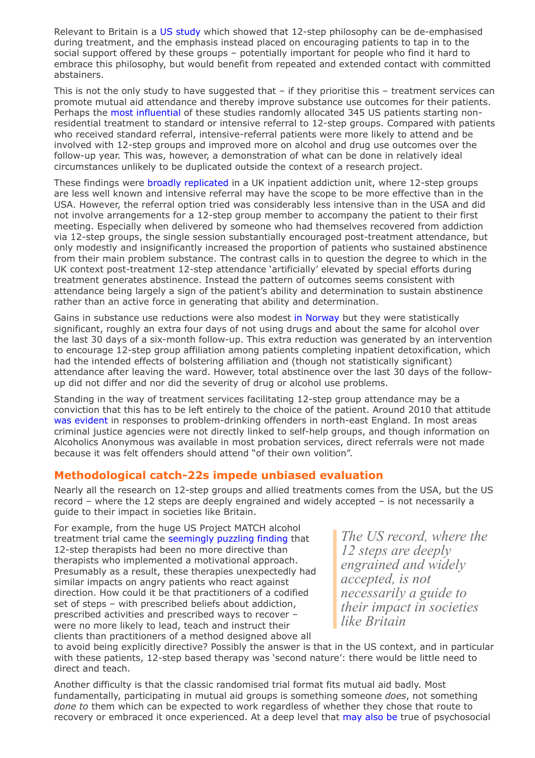Relevant to Britain is a [US study](https://findings.org.uk/PHP/dl.php?file=Litt_MD_6.txt&s=eb&sf=sfnos) which showed that 12-step philosophy can be de-emphasised during treatment, and the emphasis instead placed on encouraging patients to tap in to the social support offered by these groups – potentially important for people who find it hard to embrace this philosophy, but would benefit from repeated and extended contact with committed abstainers.

This is not the only study to have suggested that – if they prioritise this – treatment services can promote mutual aid attendance and thereby improve substance use outcomes for their patients. Perhaps the most [influential](https://findings.org.uk/PHP/dl.php?file=Timko_C_9.txt&s=eb&sf=sfnos) of these studies randomly allocated 345 US patients starting nonresidential treatment to standard or intensive referral to 12-step groups. Compared with patients who received standard referral, intensive-referral patients were more likely to attend and be involved with 12-step groups and improved more on alcohol and drug use outcomes over the follow-up year. This was, however, a demonstration of what can be done in relatively ideal circumstances unlikely to be duplicated outside the context of a research project.

These findings were broadly [replicated](https://findings.org.uk/PHP/dl.php?file=Manning_V_3.txt&s=eb&sf=sfnos) in a UK inpatient addiction unit, where 12-step groups are less well known and intensive referral may have the scope to be more effective than in the USA. However, the referral option tried was considerably less intensive than in the USA and did not involve arrangements for a 12-step group member to accompany the patient to their first meeting. Especially when delivered by someone who had themselves recovered from addiction via 12-step groups, the single session substantially encouraged post-treatment attendance, but only modestly and insignificantly increased the proportion of patients who sustained abstinence from their main problem substance. The contrast calls in to question the degree to which in the UK context post-treatment 12-step attendance 'artificially' elevated by special efforts during treatment generates abstinence. Instead the pattern of outcomes seems consistent with attendance being largely a sign of the patient's ability and determination to sustain abstinence rather than an active force in generating that ability and determination.

Gains in substance use reductions were also modest in [Norway](http://dx.doi.org/10.1111/add.12471) but they were statistically significant, roughly an extra four days of not using drugs and about the same for alcohol over the last 30 days of a six-month follow-up. This extra reduction was generated by an intervention to encourage 12-step group affiliation among patients completing inpatient detoxification, which had the intended effects of bolstering affiliation and (though not statistically significant) attendance after leaving the ward. However, total abstinence over the last 30 days of the followup did not differ and nor did the severity of drug or alcohol use problems.

Standing in the way of treatment services facilitating 12-step group attendance may be a conviction that this has to be left entirely to the choice of the patient. Around 2010 that attitude was [evident](https://findings.org.uk/PHP/dl.php?file=NEPHO_1.cab&s=eb&sf=sfnos) in responses to problem-drinking offenders in north-east England. In most areas criminal justice agencies were not directly linked to self-help groups, and though information on Alcoholics Anonymous was available in most probation services, direct referrals were not made because it was felt offenders should attend "of their own volition".

# Methodological catch-22s impede unbiased evaluation

Nearly all the research on 12-step groups and allied treatments comes from the USA, but the US record – where the 12 steps are deeply engrained and widely accepted – is not necessarily a guide to their impact in societies like Britain.

For example, from the huge US Project MATCH alcohol treatment trial came the [seemingly](https://findings.org.uk/PHP/dl.php?file=Ashton_M_35.pdf&s=eb&sf=sfnos) puzzling finding that 12-step therapists had been no more directive than therapists who implemented a motivational approach. Presumably as a result, these therapies unexpectedly had similar impacts on angry patients who react against direction. How could it be that practitioners of a codified set of steps – with prescribed beliefs about addiction, prescribed activities and prescribed ways to recover – were no more likely to lead, teach and instruct their clients than practitioners of a method designed above all

*The US record, where the 12 steps are deeply engrained and widely accepted, is not necessarily a guide to their impact in societies like Britain*

to avoid being explicitly directive? Possibly the answer is that in the US context, and in particular with these patients, 12-step based therapy was 'second nature': there would be little need to direct and teach.

Another difficulty is that the classic randomised trial format fits mutual aid badly. Most fundamentally, participating in mutual aid groups is something someone *does*, not something done to them which can be expected to work regardless of whether they chose that route to recovery or embraced it once experienced. At a deep level that [may](http://www.apa.org/books/431725A.html) also be true of psychosocial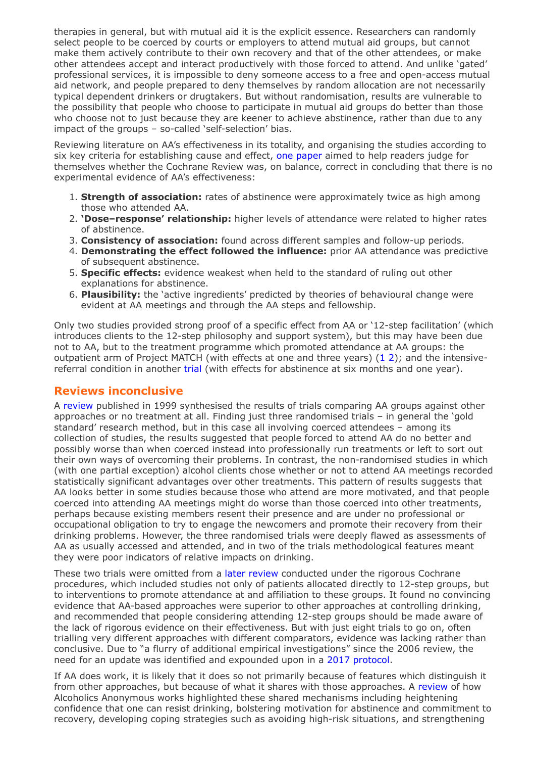therapies in general, but with mutual aid it is the explicit essence. Researchers can randomly select people to be coerced by courts or employers to attend mutual aid groups, but cannot make them actively contribute to their own recovery and that of the other attendees, or make other attendees accept and interact productively with those forced to attend. And unlike 'gated' professional services, it is impossible to deny someone access to a free and open-access mutual aid network, and people prepared to deny themselves by random allocation are not necessarily typical dependent drinkers or drugtakers. But without randomisation, results are vulnerable to the possibility that people who choose to participate in mutual aid groups do better than those who choose not to just because they are keener to achieve abstinence, rather than due to any impact of the groups – so-called 'self-selection' bias.

Reviewing literature on AA's effectiveness in its totality, and organising the studies according to six key criteria for establishing cause and effect, one [paper](https://findings.org.uk/PHP/10.1080/10550880902772464) aimed to help readers judge for themselves whether the Cochrane Review was, on balance, correct in concluding that there is no experimental evidence of AA's effectiveness:

- 1. Strength of association: rates of abstinence were approximately twice as high among those who attended AA.
- 2. 'Dose-response' relationship: higher levels of attendance were related to higher rates of abstinence.
- 3. Consistency of association: found across different samples and follow-up periods.
- 4. Demonstrating the effect followed the influence: prior AA attendance was predictive of subsequent abstinence.
- 5. Specific effects: evidence weakest when held to the standard of ruling out other explanations for abstinence.
- 6. Plausibility: the 'active ingredients' predicted by theories of behavioural change were evident at AA meetings and through the AA steps and fellowship.

Only two studies provided strong proof of a specific effect from AA or '12-step facilitation' (which introduces clients to the 12-step philosophy and support system), but this may have been due not to AA, but to the treatment programme which promoted attendance at AA groups: the outpatient arm of Project MATCH (with effects at one and three years) [\(1](http://dx.doi.org/10.15288/jsa.1997.58.7) [2\)](http://dx.doi.org/10.1111/j.1530-0277.1998.tb03912.x); and the intensivereferral condition in another [trial](https://findings.org.uk/PHP/dl.php?file=Timko_C_9.txt&s=eb&sf=sfnos) (with effects for abstinence at six months and one year).

### Reviews inconclusive

A [review](https://findings.org.uk/PHP/dl.php?file=nug_4_11.pdf&s=eb&sf=sfnos) published in 1999 synthesised the results of trials comparing AA groups against other approaches or no treatment at all. Finding just three randomised trials – in general the 'gold standard' research method, but in this case all involving coerced attendees – among its collection of studies, the results suggested that people forced to attend AA do no better and possibly worse than when coerced instead into professionally run treatments or left to sort out their own ways of overcoming their problems. In contrast, the non-randomised studies in which (with one partial exception) alcohol clients chose whether or not to attend AA meetings recorded statistically significant advantages over other treatments. This pattern of results suggests that AA looks better in some studies because those who attend are more motivated, and that people coerced into attending AA meetings might do worse than those coerced into other treatments, perhaps because existing members resent their presence and are under no professional or occupational obligation to try to engage the newcomers and promote their recovery from their drinking problems. However, the three randomised trials were deeply flawed as assessments of AA as usually accessed and attended, and in two of the trials methodological features meant they were poor indicators of relative impacts on drinking.

These two trials were omitted from a later [review](http://dx.doi.org/10.1002/14651858.CD005032.pub2) conducted under the rigorous Cochrane procedures, which included studies not only of patients allocated directly to 12-step groups, but to interventions to promote attendance at and affiliation to these groups. It found no convincing evidence that AA-based approaches were superior to other approaches at controlling drinking, and recommended that people considering attending 12-step groups should be made aware of the lack of rigorous evidence on their effectiveness. But with just eight trials to go on, often trialling very different approaches with different comparators, evidence was lacking rather than conclusive. Due to "a flurry of additional empirical investigations" since the 2006 review, the need for an update was identified and expounded upon in a 2017 [protocol](http://dx.doi.org/10.1002/14651858.CD012880).

If AA does work, it is likely that it does so not primarily because of features which distinguish it from other approaches, but because of what it shares with those approaches. A [review](http://dx.doi.org/10.1080/16066350902770458) of how Alcoholics Anonymous works highlighted these shared mechanisms including heightening confidence that one can resist drinking, bolstering motivation for abstinence and commitment to recovery, developing coping strategies such as avoiding high-risk situations, and strengthening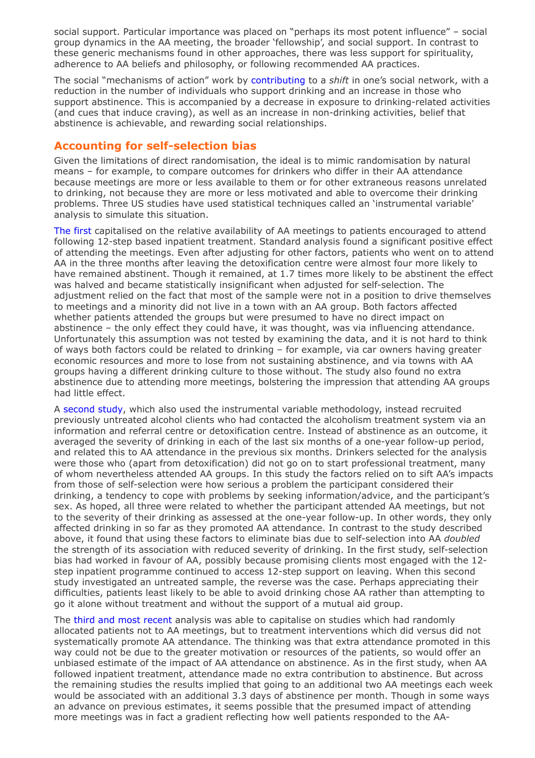social support. Particular importance was placed on "perhaps its most potent influence" – social group dynamics in the AA meeting, the broader 'fellowship', and social support. In contrast to these generic mechanisms found in other approaches, there was less support for spirituality, adherence to AA beliefs and philosophy, or following recommended AA practices.

The social "mechanisms of action" work by [contributing](http://dx.doi.org/10.1080/19371918.2013.774663) to a *shift* in one's social network, with a reduction in the number of individuals who support drinking and an increase in those who support abstinence. This is accompanied by a decrease in exposure to drinking-related activities (and cues that induce craving), as well as an increase in non-drinking activities, belief that abstinence is achievable, and rewarding social relationships.

### Accounting for self-selection bias

Given the limitations of direct randomisation, the ideal is to mimic randomisation by natural means – for example, to compare outcomes for drinkers who differ in their AA attendance because meetings are more or less available to them or for other extraneous reasons unrelated to drinking, not because they are more or less motivated and able to overcome their drinking problems. Three US studies have used statistical techniques called an 'instrumental variable' analysis to simulate this situation.

The [first](http://dx.doi.org/10.15288/jsa.1998.59.690) capitalised on the relative availability of AA meetings to patients encouraged to attend following 12-step based inpatient treatment. Standard analysis found a significant positive effect of attending the meetings. Even after adjusting for other factors, patients who went on to attend AA in the three months after leaving the detoxification centre were almost four more likely to have remained abstinent. Though it remained, at 1.7 times more likely to be abstinent the effect was halved and became statistically insignificant when adjusted for self-selection. The adjustment relied on the fact that most of the sample were not in a position to drive themselves to meetings and a minority did not live in a town with an AA group. Both factors affected whether patients attended the groups but were presumed to have no direct impact on abstinence – the only effect they could have, it was thought, was via influencing attendance. Unfortunately this assumption was not tested by examining the data, and it is not hard to think of ways both factors could be related to drinking – for example, via car owners having greater economic resources and more to lose from not sustaining abstinence, and via towns with AA groups having a different drinking culture to those without. The study also found no extra abstinence due to attending more meetings, bolstering the impression that attending AA groups had little effect.

A [second](http://dx.doi.org/10.1016/S0149-7189(96)00028-6) study, which also used the instrumental variable methodology, instead recruited previously untreated alcohol clients who had contacted the alcoholism treatment system via an information and referral centre or detoxification centre. Instead of abstinence as an outcome, it averaged the severity of drinking in each of the last six months of a one-year follow-up period, and related this to AA attendance in the previous six months. Drinkers selected for the analysis were those who (apart from detoxification) did not go on to start professional treatment, many of whom nevertheless attended AA groups. In this study the factors relied on to sift AA's impacts from those of self-selection were how serious a problem the participant considered their drinking, a tendency to cope with problems by seeking information/advice, and the participant's sex. As hoped, all three were related to whether the participant attended AA meetings, but not to the severity of their drinking as assessed at the one-year follow-up. In other words, they only affected drinking in so far as they promoted AA attendance. In contrast to the study described above, it found that using these factors to eliminate bias due to self-selection into AA *doubled* the strength of its association with reduced severity of drinking. In the first study, self-selection bias had worked in favour of AA, possibly because promising clients most engaged with the 12 step inpatient programme continued to access 12-step support on leaving. When this second study investigated an untreated sample, the reverse was the case. Perhaps appreciating their difficulties, patients least likely to be able to avoid drinking chose AA rather than attempting to go it alone without treatment and without the support of a mutual aid group.

The third and most [recent](https://findings.org.uk/PHP/dl.php?file=Humphreys_K_28.txt&s=eb&sf=sfnos) analysis was able to capitalise on studies which had randomly allocated patients not to AA meetings, but to treatment interventions which did versus did not systematically promote AA attendance. The thinking was that extra attendance promoted in this way could not be due to the greater motivation or resources of the patients, so would offer an unbiased estimate of the impact of AA attendance on abstinence. As in the first study, when AA followed inpatient treatment, attendance made no extra contribution to abstinence. But across the remaining studies the results implied that going to an additional two AA meetings each week would be associated with an additional 3.3 days of abstinence per month. Though in some ways an advance on previous estimates, it seems possible that the presumed impact of attending more meetings was in fact a gradient reflecting how well patients responded to the AA-